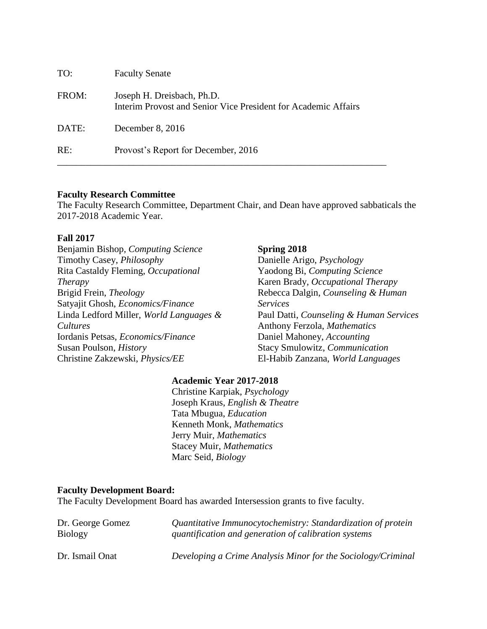| TO:   | <b>Faculty Senate</b>                                                                        |
|-------|----------------------------------------------------------------------------------------------|
| FROM: | Joseph H. Dreisbach, Ph.D.<br>Interim Provost and Senior Vice President for Academic Affairs |
| DATE: | December $8, 2016$                                                                           |
| RE:   | Provost's Report for December, 2016                                                          |

### **Faculty Research Committee**

The Faculty Research Committee, Department Chair, and Dean have approved sabbaticals the 2017-2018 Academic Year.

#### **Fall 2017**

Benjamin Bishop*, Computing Science* Timothy Casey, *Philosophy* Rita Castaldy Fleming, *Occupational Therapy* Brigid Frein, *Theology* Satyajit Ghosh, *Economics/Finance* Linda Ledford Miller, *World Languages & Cultures* Iordanis Petsas, *Economics/Finance* Susan Poulson, *History* Christine Zakzewski, *Physics/EE*

#### **Spring 2018**

Danielle Arigo, *Psychology* Yaodong Bi, *Computing Science* Karen Brady, *Occupational Therapy* Rebecca Dalgin, *Counseling & Human Services* Paul Datti, *Counseling & Human Services* Anthony Ferzola, *Mathematics* Daniel Mahoney, *Accounting* Stacy Smulowitz, *Communication* El-Habib Zanzana, *World Languages*

### **Academic Year 2017-2018**

Christine Karpiak, *Psychology* Joseph Kraus, *English & Theatre* Tata Mbugua, *Education* Kenneth Monk, *Mathematics* Jerry Muir, *Mathematics* Stacey Muir, *Mathematics* Marc Seid, *Biology*

#### **Faculty Development Board:**

The Faculty Development Board has awarded Intersession grants to five faculty.

| Dr. George Gomez | Quantitative Immunocytochemistry: Standardization of protein |
|------------------|--------------------------------------------------------------|
| <b>Biology</b>   | quantification and generation of calibration systems         |
| Dr. Ismail Onat  | Developing a Crime Analysis Minor for the Sociology/Criminal |